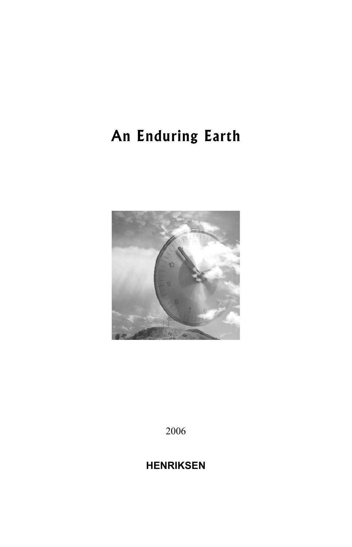# **An Enduring Earth**



2006

## **HENRIKSEN**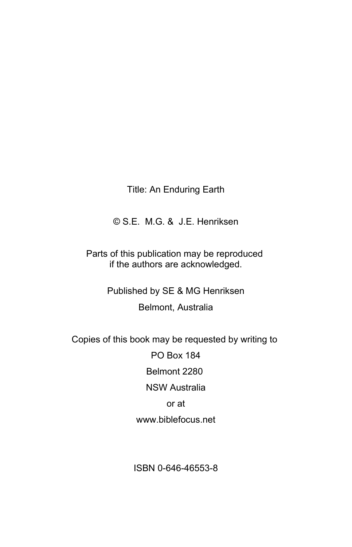#### Title: An Enduring Earth

© S.E. M.G. & J.E. Henriksen

Parts of this publication may be reproduced if the authors are acknowledged.

> Published by SE & MG Henriksen Belmont, Australia

Copies of this book may be requested by writing to

PO Box 184 Belmont 2280 NSW Australia or at www.biblefocus.net

ISBN 0-646-46553-8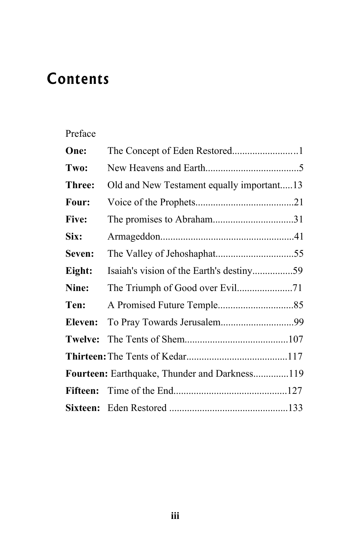# **Contents**

### Preface

| One:         | The Concept of Eden Restored1                        |  |
|--------------|------------------------------------------------------|--|
| Two:         |                                                      |  |
| Three:       | Old and New Testament equally important13            |  |
| Four:        |                                                      |  |
| <b>Five:</b> |                                                      |  |
| Six:         |                                                      |  |
| Seven:       |                                                      |  |
| Eight:       |                                                      |  |
| Nine:        |                                                      |  |
| Ten:         |                                                      |  |
| Eleven:      | To Pray Towards Jerusalem99                          |  |
| Twelve:      |                                                      |  |
|              |                                                      |  |
|              | <b>Fourteen:</b> Earthquake, Thunder and Darkness119 |  |
|              |                                                      |  |
|              |                                                      |  |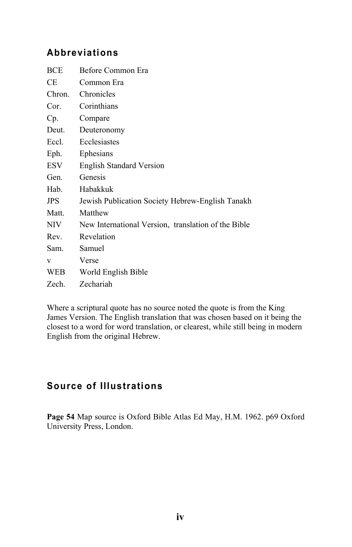#### **Abbreviations**

| BCE        | Before Common Era                                   |
|------------|-----------------------------------------------------|
| CE.        | Common Era                                          |
| Chron.     | Chronicles                                          |
| Cor.       | Corinthians                                         |
| Cp.        | Compare                                             |
| Deut.      | Deuteronomy                                         |
| Eccl.      | Ecclesiastes                                        |
| Eph.       | Ephesians                                           |
| ESV        | <b>English Standard Version</b>                     |
| Gen.       | Genesis                                             |
| Hab        | Habakkuk                                            |
| <b>JPS</b> | Jewish Publication Society Hebrew-English Tanakh    |
| Matt.      | Matthew                                             |
| NIV.       | New International Version, translation of the Bible |
| Rev.       | Revelation                                          |
| Sam.       | Samuel                                              |
| V          | Verse                                               |
| WEB        | World English Bible                                 |
| Zech.      | Zechariah                                           |
|            |                                                     |

Where a scriptural quote has no source noted the quote is from the King James Version. The English translation that was chosen based on it being the closest to a word for word translation, or clearest, while still being in modern English from the original Hebrew.

### **Source of Illustrations**

**Page 54** Map source is Oxford Bible Atlas Ed May, H.M. 1962. p69 Oxford University Press, London.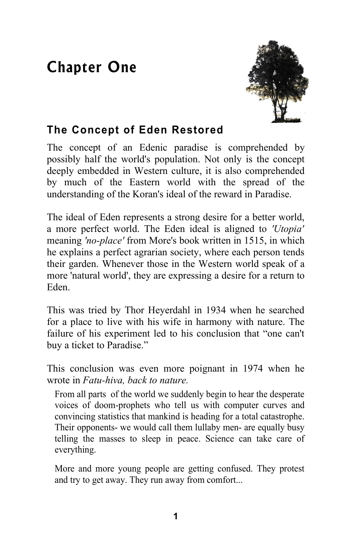# **Chapter One**



## **The Concept of Eden Restored**

The concept of an Edenic paradise is comprehended by possibly half the world's population. Not only is the concept deeply embedded in Western culture, it is also comprehended by much of the Eastern world with the spread of the understanding of the Koran's ideal of the reward in Paradise.

The ideal of Eden represents a strong desire for a better world, a more perfect world. The Eden ideal is aligned to *'Utopia'* meaning *'no-place'* from More's book written in 1515, in which he explains a perfect agrarian society, where each person tends their garden. Whenever those in the Western world speak of a more 'natural world', they are expressing a desire for a return to Eden.

This was tried by Thor Heyerdahl in 1934 when he searched for a place to live with his wife in harmony with nature. The failure of his experiment led to his conclusion that "one can't buy a ticket to Paradise."

This conclusion was even more poignant in 1974 when he wrote in *Fatu-hiva, back to nature.*

From all parts of the world we suddenly begin to hear the desperate voices of doom-prophets who tell us with computer curves and convincing statistics that mankind is heading for a total catastrophe. Their opponents- we would call them lullaby men- are equally busy telling the masses to sleep in peace. Science can take care of everything.

More and more young people are getting confused. They protest and try to get away. They run away from comfort...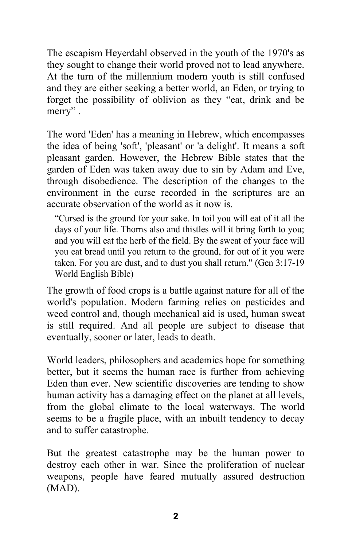The escapism Heyerdahl observed in the youth of the 1970's as they sought to change their world proved not to lead anywhere. At the turn of the millennium modern youth is still confused and they are either seeking a better world, an Eden, or trying to forget the possibility of oblivion as they "eat, drink and be merry" .

The word 'Eden' has a meaning in Hebrew, which encompasses the idea of being 'soft', 'pleasant' or 'a delight'. It means a soft pleasant garden. However, the Hebrew Bible states that the garden of Eden was taken away due to sin by Adam and Eve, through disobedience. The description of the changes to the environment in the curse recorded in the scriptures are an accurate observation of the world as it now is.

"Cursed is the ground for your sake. In toil you will eat of it all the days of your life. Thorns also and thistles will it bring forth to you; and you will eat the herb of the field. By the sweat of your face will you eat bread until you return to the ground, for out of it you were taken. For you are dust, and to dust you shall return." (Gen 3:17-19 World English Bible)

The growth of food crops is a battle against nature for all of the world's population. Modern farming relies on pesticides and weed control and, though mechanical aid is used, human sweat is still required. And all people are subject to disease that eventually, sooner or later, leads to death.

World leaders, philosophers and academics hope for something better, but it seems the human race is further from achieving Eden than ever. New scientific discoveries are tending to show human activity has a damaging effect on the planet at all levels, from the global climate to the local waterways. The world seems to be a fragile place, with an inbuilt tendency to decay and to suffer catastrophe.

But the greatest catastrophe may be the human power to destroy each other in war. Since the proliferation of nuclear weapons, people have feared mutually assured destruction (MAD).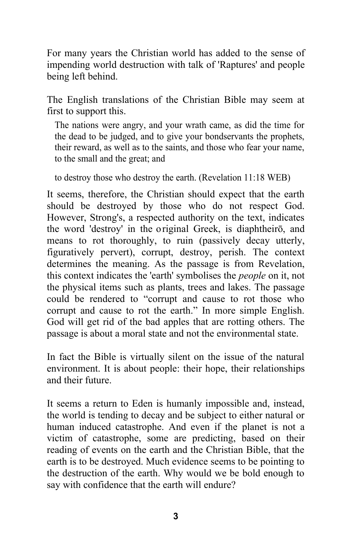For many years the Christian world has added to the sense of impending world destruction with talk of 'Raptures' and people being left behind.

The English translations of the Christian Bible may seem at first to support this.

The nations were angry, and your wrath came, as did the time for the dead to be judged, and to give your bondservants the prophets, their reward, as well as to the saints, and those who fear your name, to the small and the great; and

to destroy those who destroy the earth. (Revelation 11:18 WEB)

It seems, therefore, the Christian should expect that the earth should be destroyed by those who do not respect God. However, Strong's, a respected authority on the text, indicates the word 'destroy' in the original Greek, is diaphtheiro, and means to rot thoroughly, to ruin (passively decay utterly, figuratively pervert), corrupt, destroy, perish. The context determines the meaning. As the passage is from Revelation, this context indicates the 'earth' symbolises the *people* on it, not the physical items such as plants, trees and lakes. The passage could be rendered to "corrupt and cause to rot those who corrupt and cause to rot the earth." In more simple English. God will get rid of the bad apples that are rotting others. The passage is about a moral state and not the environmental state.

In fact the Bible is virtually silent on the issue of the natural environment. It is about people: their hope, their relationships and their future.

It seems a return to Eden is humanly impossible and, instead, the world is tending to decay and be subject to either natural or human induced catastrophe. And even if the planet is not a victim of catastrophe, some are predicting, based on their reading of events on the earth and the Christian Bible, that the earth is to be destroyed. Much evidence seems to be pointing to the destruction of the earth. Why would we be bold enough to say with confidence that the earth will endure?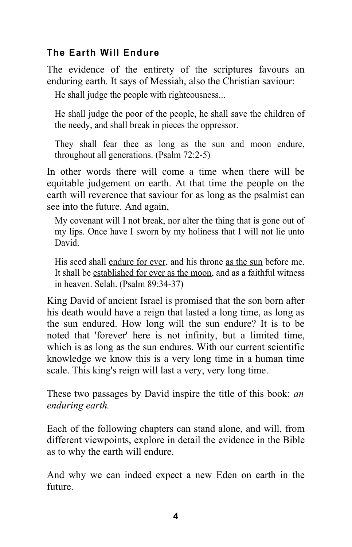### **The Earth Will Endure**

The evidence of the entirety of the scriptures favours an enduring earth. It says of Messiah, also the Christian saviour:

He shall judge the people with righteousness...

He shall judge the poor of the people, he shall save the children of the needy, and shall break in pieces the oppressor.

They shall fear thee as long as the sun and moon endure, throughout all generations. (Psalm 72:2-5)

In other words there will come a time when there will be equitable judgement on earth. At that time the people on the earth will reverence that saviour for as long as the psalmist can see into the future. And again,

My covenant will I not break, nor alter the thing that is gone out of my lips. Once have I sworn by my holiness that I will not lie unto David.

His seed shall endure for ever, and his throne as the sun before me. It shall be established for ever as the moon, and as a faithful witness in heaven. Selah. (Psalm 89:34-37)

King David of ancient Israel is promised that the son born after his death would have a reign that lasted a long time, as long as the sun endured. How long will the sun endure? It is to be noted that 'forever' here is not infinity, but a limited time, which is as long as the sun endures. With our current scientific knowledge we know this is a very long time in a human time scale. This king's reign will last a very, very long time.

These two passages by David inspire the title of this book: *an enduring earth.* 

Each of the following chapters can stand alone, and will, from different viewpoints, explore in detail the evidence in the Bible as to why the earth will endure.

And why we can indeed expect a new Eden on earth in the future.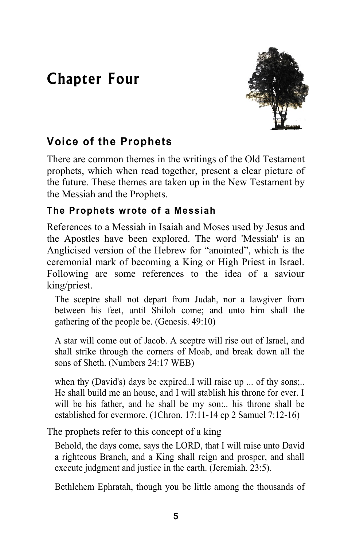## **Chapter Four**



## **Voice of the Prophets**

There are common themes in the writings of the Old Testament prophets, which when read together, present a clear picture of the future. These themes are taken up in the New Testament by the Messiah and the Prophets.

### **The Prophets wrote of a Messiah**

References to a Messiah in Isaiah and Moses used by Jesus and the Apostles have been explored. The word 'Messiah' is an Anglicised version of the Hebrew for "anointed", which is the ceremonial mark of becoming a King or High Priest in Israel. Following are some references to the idea of a saviour king/priest.

The sceptre shall not depart from Judah, nor a lawgiver from between his feet, until Shiloh come; and unto him shall the gathering of the people be. (Genesis. 49:10)

A star will come out of Jacob. A sceptre will rise out of Israel, and shall strike through the corners of Moab, and break down all the sons of Sheth. (Numbers 24:17 WEB)

when thy (David's) days be expired. I will raise up ... of thy sons... He shall build me an house, and I will stablish his throne for ever. I will be his father, and he shall be my son:.. his throne shall be established for evermore. (1Chron. 17:11-14 cp 2 Samuel 7:12-16)

The prophets refer to this concept of a king

Behold, the days come, says the LORD, that I will raise unto David a righteous Branch, and a King shall reign and prosper, and shall execute judgment and justice in the earth. (Jeremiah. 23:5).

Bethlehem Ephratah, though you be little among the thousands of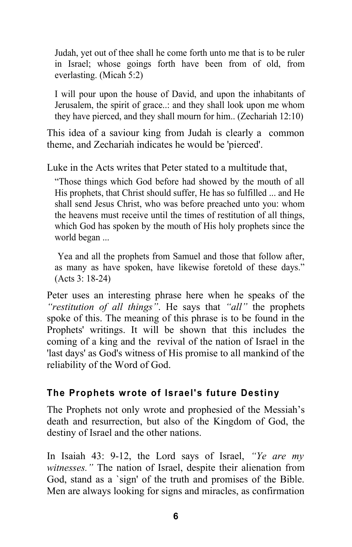Judah, yet out of thee shall he come forth unto me that is to be ruler in Israel; whose goings forth have been from of old, from everlasting. (Micah 5:2)

I will pour upon the house of David, and upon the inhabitants of Jerusalem, the spirit of grace..: and they shall look upon me whom they have pierced, and they shall mourn for him.. (Zechariah 12:10)

This idea of a saviour king from Judah is clearly a common theme, and Zechariah indicates he would be 'pierced'.

Luke in the Acts writes that Peter stated to a multitude that,

"Those things which God before had showed by the mouth of all His prophets, that Christ should suffer, He has so fulfilled ... and He shall send Jesus Christ, who was before preached unto you: whom the heavens must receive until the times of restitution of all things, which God has spoken by the mouth of His holy prophets since the world began ...

Yea and all the prophets from Samuel and those that follow after, as many as have spoken, have likewise foretold of these days." (Acts 3: 18-24)

Peter uses an interesting phrase here when he speaks of the *"restitution of all things"*. He says that *"all"* the prophets spoke of this. The meaning of this phrase is to be found in the Prophets' writings. It will be shown that this includes the coming of a king and the revival of the nation of Israel in the 'last days' as God's witness of His promise to all mankind of the reliability of the Word of God.

#### **The Prophets wrote of Israel's future Destiny**

The Prophets not only wrote and prophesied of the Messiah's death and resurrection, but also of the Kingdom of God, the destiny of Israel and the other nations.

In Isaiah 43: 9-12, the Lord says of Israel, *"Ye are my witnesses."* The nation of Israel, despite their alienation from God, stand as a `sign' of the truth and promises of the Bible. Men are always looking for signs and miracles, as confirmation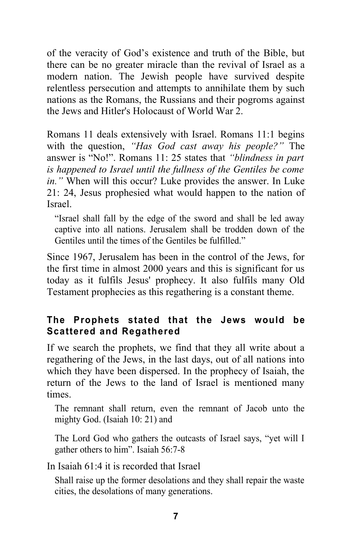of the veracity of God's existence and truth of the Bible, but there can be no greater miracle than the revival of Israel as a modern nation. The Jewish people have survived despite relentless persecution and attempts to annihilate them by such nations as the Romans, the Russians and their pogroms against the Jews and Hitler's Holocaust of World War 2.

Romans 11 deals extensively with Israel. Romans 11:1 begins with the question, *"Has God cast away his people?"* The answer is "No!". Romans 11: 25 states that *"blindness in part is happened to Israel until the fullness of the Gentiles be come in."* When will this occur? Luke provides the answer. In Luke 21: 24, Jesus prophesied what would happen to the nation of Israel.

"Israel shall fall by the edge of the sword and shall be led away captive into all nations. Jerusalem shall be trodden down of the Gentiles until the times of the Gentiles be fulfilled."

Since 1967, Jerusalem has been in the control of the Jews, for the first time in almost 2000 years and this is significant for us today as it fulfils Jesus' prophecy. It also fulfils many Old Testament prophecies as this regathering is a constant theme.

### **The Prophets stated that the Jews would be Scattered and Regathered**

If we search the prophets, we find that they all write about a regathering of the Jews, in the last days, out of all nations into which they have been dispersed. In the prophecy of Isaiah, the return of the Jews to the land of Israel is mentioned many times.

The remnant shall return, even the remnant of Jacob unto the mighty God. (Isaiah 10: 21) and

The Lord God who gathers the outcasts of Israel says, "yet will I gather others to him". Isaiah 56:7-8

In Isaiah 61:4 it is recorded that Israel

Shall raise up the former desolations and they shall repair the waste cities, the desolations of many generations.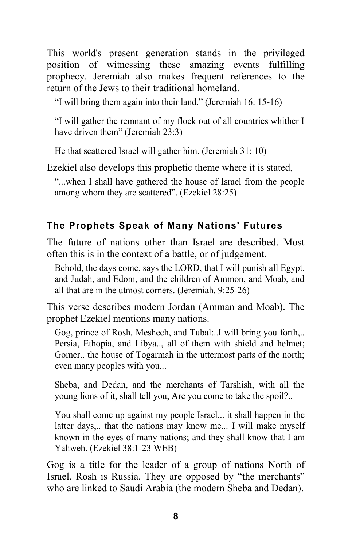This world's present generation stands in the privileged position of witnessing these amazing events fulfilling prophecy. Jeremiah also makes frequent references to the return of the Jews to their traditional homeland.

"I will bring them again into their land." (Jeremiah 16: 15-16)

"I will gather the remnant of my flock out of all countries whither I have driven them" (Jeremiah 23:3)

He that scattered Israel will gather him. (Jeremiah 31: 10)

Ezekiel also develops this prophetic theme where it is stated,

"...when I shall have gathered the house of Israel from the people among whom they are scattered". (Ezekiel 28:25)

### **The Prophets Speak of Many Nations' Futures**

The future of nations other than Israel are described. Most often this is in the context of a battle, or of judgement.

Behold, the days come, says the LORD, that I will punish all Egypt, and Judah, and Edom, and the children of Ammon, and Moab, and all that are in the utmost corners. (Jeremiah. 9:25-26)

This verse describes modern Jordan (Amman and Moab). The prophet Ezekiel mentions many nations.

Gog, prince of Rosh, Meshech, and Tubal:..I will bring you forth,.. Persia, Ethopia, and Libya.., all of them with shield and helmet; Gomer.. the house of Togarmah in the uttermost parts of the north; even many peoples with you...

Sheba, and Dedan, and the merchants of Tarshish, with all the young lions of it, shall tell you, Are you come to take the spoil?..

You shall come up against my people Israel,.. it shall happen in the latter days,.. that the nations may know me... I will make myself known in the eyes of many nations; and they shall know that I am Yahweh. (Ezekiel 38:1-23 WEB)

Gog is a title for the leader of a group of nations North of Israel. Rosh is Russia. They are opposed by "the merchants" who are linked to Saudi Arabia (the modern Sheba and Dedan).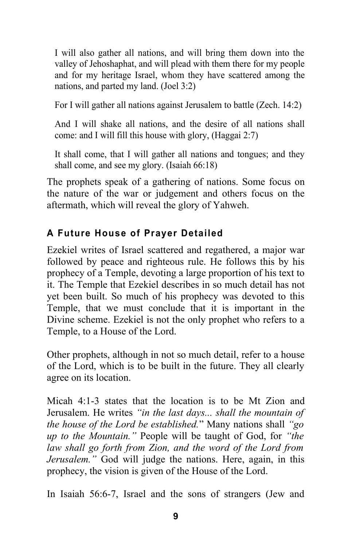I will also gather all nations, and will bring them down into the valley of Jehoshaphat, and will plead with them there for my people and for my heritage Israel, whom they have scattered among the nations, and parted my land. (Joel 3:2)

For I will gather all nations against Jerusalem to battle (Zech. 14:2)

And I will shake all nations, and the desire of all nations shall come: and I will fill this house with glory, (Haggai 2:7)

It shall come, that I will gather all nations and tongues; and they shall come, and see my glory. (Isaiah 66:18)

The prophets speak of a gathering of nations. Some focus on the nature of the war or judgement and others focus on the aftermath, which will reveal the glory of Yahweh.

### **A Future House of Prayer Detailed**

Ezekiel writes of Israel scattered and regathered, a major war followed by peace and righteous rule. He follows this by his prophecy of a Temple, devoting a large proportion of his text to it. The Temple that Ezekiel describes in so much detail has not yet been built. So much of his prophecy was devoted to this Temple, that we must conclude that it is important in the Divine scheme. Ezekiel is not the only prophet who refers to a Temple, to a House of the Lord.

Other prophets, although in not so much detail, refer to a house of the Lord, which is to be built in the future. They all clearly agree on its location.

Micah 4:1-3 states that the location is to be Mt Zion and Jerusalem. He writes *"in the last days... shall the mountain of the house of the Lord be established.*" Many nations shall *"go up to the Mountain."* People will be taught of God, for *"the law shall go forth from Zion, and the word of the Lord from Jerusalem.*" God will judge the nations. Here, again, in this prophecy, the vision is given of the House of the Lord.

In Isaiah 56:6-7, Israel and the sons of strangers (Jew and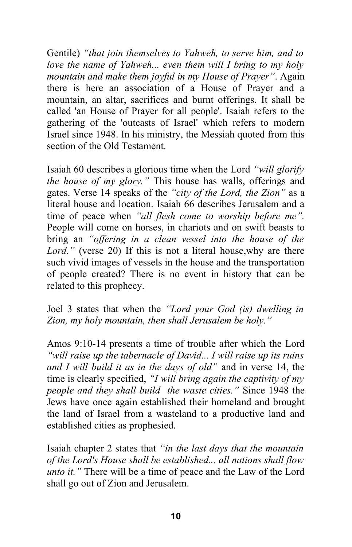Gentile) *"that join themselves to Yahweh, to serve him, and to love the name of Yahweh... even them will I bring to my holy mountain and make them joyful in my House of Prayer"*. Again there is here an association of a House of Prayer and a mountain, an altar, sacrifices and burnt offerings. It shall be called 'an House of Prayer for all people'. Isaiah refers to the gathering of the 'outcasts of Israel' which refers to modern Israel since 1948. In his ministry, the Messiah quoted from this section of the Old Testament.

Isaiah 60 describes a glorious time when the Lord *"will glorify the house of my glory."* This house has walls, offerings and gates. Verse 14 speaks of the *"city of the Lord, the Zion"* as a literal house and location. Isaiah 66 describes Jerusalem and a time of peace when *"all flesh come to worship before me".* People will come on horses, in chariots and on swift beasts to bring an *"offering in a clean vessel into the house of the Lord."* (verse 20) If this is not a literal house,why are there such vivid images of vessels in the house and the transportation of people created? There is no event in history that can be related to this prophecy.

Joel 3 states that when the *"Lord your God (is) dwelling in Zion, my holy mountain, then shall Jerusalem be holy."*

Amos 9:10-14 presents a time of trouble after which the Lord *"will raise up the tabernacle of David... I will raise up its ruins and I will build it as in the days of old"* and in verse 14, the time is clearly specified, *"I will bring again the captivity of my people and they shall build the waste cities."* Since 1948 the Jews have once again established their homeland and brought the land of Israel from a wasteland to a productive land and established cities as prophesied.

Isaiah chapter 2 states that *"in the last days that the mountain of the Lord's House shall be established... all nations shall flow unto it."* There will be a time of peace and the Law of the Lord shall go out of Zion and Jerusalem.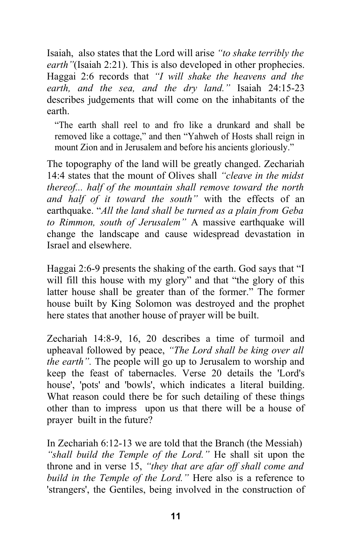Isaiah, also states that the Lord will arise *"to shake terribly the earth* "(Isaiah 2:21). This is also developed in other prophecies. Haggai 2:6 records that *"I will shake the heavens and the earth, and the sea, and the dry land."* Isaiah 24:15-23 describes judgements that will come on the inhabitants of the earth.

"The earth shall reel to and fro like a drunkard and shall be removed like a cottage," and then "Yahweh of Hosts shall reign in mount Zion and in Jerusalem and before his ancients gloriously."

The topography of the land will be greatly changed. Zechariah 14:4 states that the mount of Olives shall *"cleave in the midst thereof... half of the mountain shall remove toward the north and half of it toward the south"* with the effects of an earthquake. "*All the land shall be turned as a plain from Geba to Rimmon, south of Jerusalem"* A massive earthquake will change the landscape and cause widespread devastation in Israel and elsewhere.

Haggai 2:6-9 presents the shaking of the earth. God says that "I will fill this house with my glory" and that "the glory of this latter house shall be greater than of the former." The former house built by King Solomon was destroyed and the prophet here states that another house of prayer will be built.

Zechariah 14:8-9, 16, 20 describes a time of turmoil and upheaval followed by peace, *"The Lord shall be king over all the earth".* The people will go up to Jerusalem to worship and keep the feast of tabernacles. Verse 20 details the 'Lord's house', 'pots' and 'bowls', which indicates a literal building. What reason could there be for such detailing of these things other than to impress upon us that there will be a house of prayer built in the future?

In Zechariah 6:12-13 we are told that the Branch (the Messiah) *"shall build the Temple of the Lord."* He shall sit upon the throne and in verse 15, *"they that are afar off shall come and build in the Temple of the Lord."* Here also is a reference to 'strangers', the Gentiles, being involved in the construction of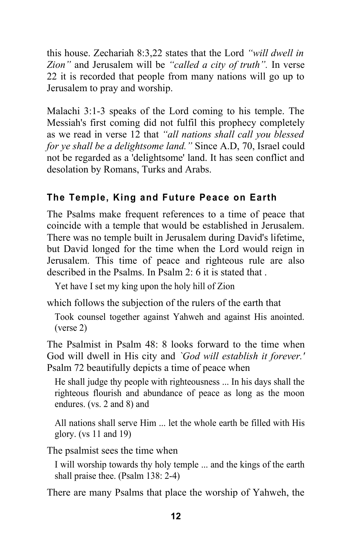this house. Zechariah 8:3,22 states that the Lord *"will dwell in Zion"* and Jerusalem will be *"called a city of truth".* In verse 22 it is recorded that people from many nations will go up to Jerusalem to pray and worship.

Malachi 3:1-3 speaks of the Lord coming to his temple. The Messiah's first coming did not fulfil this prophecy completely as we read in verse 12 that *"all nations shall call you blessed for ye shall be a delightsome land."* Since A.D, 70, Israel could not be regarded as a 'delightsome' land. It has seen conflict and desolation by Romans, Turks and Arabs.

### **The Temple, King and Future Peace on Earth**

The Psalms make frequent references to a time of peace that coincide with a temple that would be established in Jerusalem. There was no temple built in Jerusalem during David's lifetime, but David longed for the time when the Lord would reign in Jerusalem. This time of peace and righteous rule are also described in the Psalms. In Psalm 2: 6 it is stated that .

Yet have I set my king upon the holy hill of Zion

which follows the subjection of the rulers of the earth that

Took counsel together against Yahweh and against His anointed. (verse 2)

The Psalmist in Psalm 48: 8 looks forward to the time when God will dwell in His city and *`God will establish it forever.'* Psalm 72 beautifully depicts a time of peace when

He shall judge thy people with righteousness ... In his days shall the righteous flourish and abundance of peace as long as the moon endures. (vs. 2 and 8) and

All nations shall serve Him ... let the whole earth be filled with His glory. (vs 11 and 19)

The psalmist sees the time when

I will worship towards thy holy temple ... and the kings of the earth shall praise thee. (Psalm 138: 2-4)

There are many Psalms that place the worship of Yahweh, the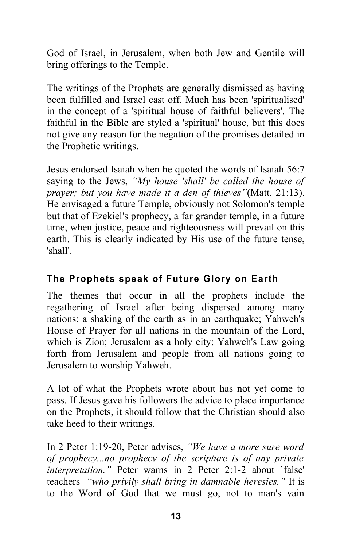God of Israel, in Jerusalem, when both Jew and Gentile will bring offerings to the Temple.

The writings of the Prophets are generally dismissed as having been fulfilled and Israel cast off. Much has been 'spiritualised' in the concept of a 'spiritual house of faithful believers'. The faithful in the Bible are styled a 'spiritual' house, but this does not give any reason for the negation of the promises detailed in the Prophetic writings.

Jesus endorsed Isaiah when he quoted the words of Isaiah 56:7 saying to the Jews, *"My house 'shall' be called the house of prayer; but you have made it a den of thieves"*(Matt. 21:13). He envisaged a future Temple, obviously not Solomon's temple but that of Ezekiel's prophecy, a far grander temple, in a future time, when justice, peace and righteousness will prevail on this earth. This is clearly indicated by His use of the future tense, 'shall'.

### **The Prophets speak of Future Glory on Earth**

The themes that occur in all the prophets include the regathering of Israel after being dispersed among many nations; a shaking of the earth as in an earthquake; Yahweh's House of Prayer for all nations in the mountain of the Lord, which is Zion; Jerusalem as a holy city; Yahweh's Law going forth from Jerusalem and people from all nations going to Jerusalem to worship Yahweh.

A lot of what the Prophets wrote about has not yet come to pass. If Jesus gave his followers the advice to place importance on the Prophets, it should follow that the Christian should also take heed to their writings.

In 2 Peter 1:19-20, Peter advises, *"We have a more sure word of prophecy...no prophecy of the scripture is of any private interpretation."* Peter warns in 2 Peter 2:1-2 about `false' teachers *"who privily shall bring in damnable heresies."* It is to the Word of God that we must go, not to man's vain